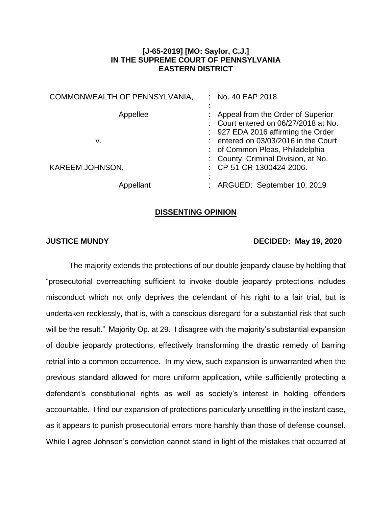## **[J-65-2019] [MO: Saylor, C.J.] IN THE SUPREME COURT OF PENNSYLVANIA EASTERN DISTRICT**

| COMMONWEALTH OF PENNSYLVANIA, | : No. 40 EAP 2018                                                                                                                                         |
|-------------------------------|-----------------------------------------------------------------------------------------------------------------------------------------------------------|
| Appellee<br>v.                | : Appeal from the Order of Superior<br>: Court entered on 06/27/2018 at No.<br>: 927 EDA 2016 affirming the Order<br>: entered on 03/03/2016 in the Court |
| <b>KAREEM JOHNSON,</b>        | : of Common Pleas, Philadelphia<br>: County, Criminal Division, at No.<br>: CP-51-CR-1300424-2006.                                                        |
| Appellant                     | : ARGUED: September 10, 2019                                                                                                                              |

## **DISSENTING OPINION**

## **JUSTICE MUNDY DECIDED: May 19, 2020**

The majority extends the protections of our double jeopardy clause by holding that "prosecutorial overreaching sufficient to invoke double jeopardy protections includes misconduct which not only deprives the defendant of his right to a fair trial, but is undertaken recklessly, that is, with a conscious disregard for a substantial risk that such will be the result." Majority Op. at 29. I disagree with the majority's substantial expansion of double jeopardy protections, effectively transforming the drastic remedy of barring retrial into a common occurrence. In my view, such expansion is unwarranted when the previous standard allowed for more uniform application, while sufficiently protecting a defendant's constitutional rights as well as society's interest in holding offenders accountable. I find our expansion of protections particularly unsettling in the instant case, as it appears to punish prosecutorial errors more harshly than those of defense counsel. While I agree Johnson's conviction cannot stand in light of the mistakes that occurred at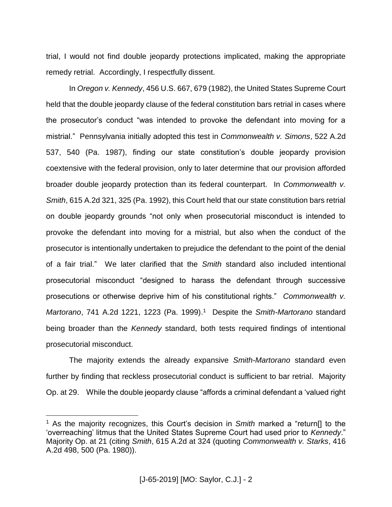trial, I would not find double jeopardy protections implicated, making the appropriate remedy retrial. Accordingly, I respectfully dissent.

In *Oregon v. Kennedy*, 456 U.S. 667, 679 (1982), the United States Supreme Court held that the double jeopardy clause of the federal constitution bars retrial in cases where the prosecutor's conduct "was intended to provoke the defendant into moving for a mistrial." Pennsylvania initially adopted this test in *Commonwealth v. Simons*, 522 A.2d 537, 540 (Pa. 1987), finding our state constitution's double jeopardy provision coextensive with the federal provision, only to later determine that our provision afforded broader double jeopardy protection than its federal counterpart. In *Commonwealth v. Smith*, 615 A.2d 321, 325 (Pa. 1992), this Court held that our state constitution bars retrial on double jeopardy grounds "not only when prosecutorial misconduct is intended to provoke the defendant into moving for a mistrial, but also when the conduct of the prosecutor is intentionally undertaken to prejudice the defendant to the point of the denial of a fair trial." We later clarified that the *Smith* standard also included intentional prosecutorial misconduct "designed to harass the defendant through successive prosecutions or otherwise deprive him of his constitutional rights." *Commonwealth v. Martorano*, 741 A.2d 1221, 1223 (Pa. 1999). 1 Despite the *Smith-Martorano* standard being broader than the *Kennedy* standard, both tests required findings of intentional prosecutorial misconduct.

The majority extends the already expansive *Smith-Martorano* standard even further by finding that reckless prosecutorial conduct is sufficient to bar retrial. Majority Op. at 29. While the double jeopardy clause "affords a criminal defendant a 'valued right

 $\overline{a}$ 

<sup>1</sup> As the majority recognizes, this Court's decision in *Smith* marked a "return[] to the 'overreaching' litmus that the United States Supreme Court had used prior to *Kennedy*." Majority Op. at 21 (citing *Smith*, 615 A.2d at 324 (quoting *Commonwealth v. Starks*, 416 A.2d 498, 500 (Pa. 1980)).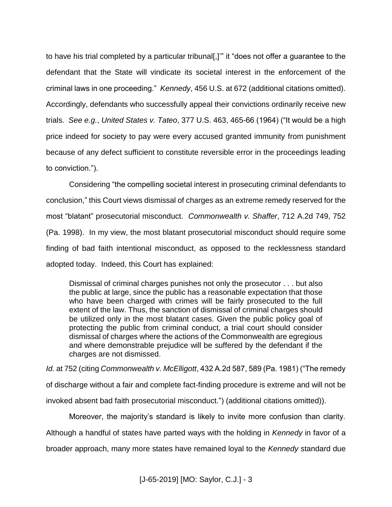to have his trial completed by a particular tribunal[,]'" it "does not offer a guarantee to the defendant that the State will vindicate its societal interest in the enforcement of the criminal laws in one proceeding." *Kennedy*, 456 U.S. at 672 (additional citations omitted). Accordingly, defendants who successfully appeal their convictions ordinarily receive new trials. *See e.g.*, *United States v. Tateo*, 377 U.S. 463, 465-66 (1964) ("It would be a high price indeed for society to pay were every accused granted immunity from punishment because of any defect sufficient to constitute reversible error in the proceedings leading to conviction.").

Considering "the compelling societal interest in prosecuting criminal defendants to conclusion," this Court views dismissal of charges as an extreme remedy reserved for the most "blatant" prosecutorial misconduct. *Commonwealth v. Shaffer*, 712 A.2d 749, 752 (Pa. 1998). In my view, the most blatant prosecutorial misconduct should require some finding of bad faith intentional misconduct, as opposed to the recklessness standard adopted today. Indeed, this Court has explained:

Dismissal of criminal charges punishes not only the prosecutor . . . but also the public at large, since the public has a reasonable expectation that those who have been charged with crimes will be fairly prosecuted to the full extent of the law. Thus, the sanction of dismissal of criminal charges should be utilized only in the most blatant cases. Given the public policy goal of protecting the public from criminal conduct, a trial court should consider dismissal of charges where the actions of the Commonwealth are egregious and where demonstrable prejudice will be suffered by the defendant if the charges are not dismissed.

*Id.* at 752 (citing *Commonwealth v. McElligott*, 432 A.2d 587, 589 (Pa. 1981) ("The remedy of discharge without a fair and complete fact-finding procedure is extreme and will not be invoked absent bad faith prosecutorial misconduct.") (additional citations omitted)).

Moreover, the majority's standard is likely to invite more confusion than clarity.

Although a handful of states have parted ways with the holding in *Kennedy* in favor of a

broader approach, many more states have remained loyal to the *Kennedy* standard due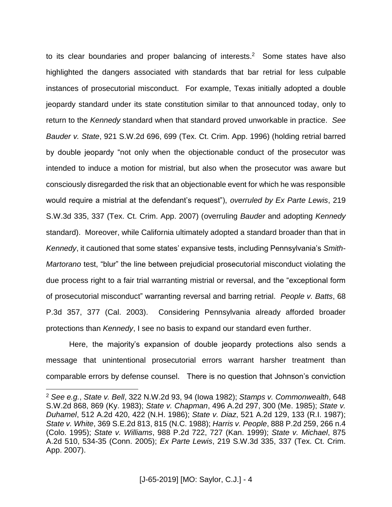to its clear boundaries and proper balancing of interests. 2 Some states have also highlighted the dangers associated with standards that bar retrial for less culpable instances of prosecutorial misconduct. For example, Texas initially adopted a double jeopardy standard under its state constitution similar to that announced today, only to return to the *Kennedy* standard when that standard proved unworkable in practice. *See Bauder v. State*, 921 S.W.2d 696, 699 (Tex. Ct. Crim. App. 1996) (holding retrial barred by double jeopardy "not only when the objectionable conduct of the prosecutor was intended to induce a motion for mistrial, but also when the prosecutor was aware but consciously disregarded the risk that an objectionable event for which he was responsible would require a mistrial at the defendant's request"), *overruled by Ex Parte Lewis*, 219 S.W.3d 335, 337 (Tex. Ct. Crim. App. 2007) (overruling *Bauder* and adopting *Kennedy* standard). Moreover, while California ultimately adopted a standard broader than that in *Kennedy*, it cautioned that some states' expansive tests, including Pennsylvania's *Smith-Martorano* test, "blur" the line between prejudicial prosecutorial misconduct violating the due process right to a fair trial warranting mistrial or reversal, and the "exceptional form of prosecutorial misconduct" warranting reversal and barring retrial. *People v. Batts*, 68 P.3d 357, 377 (Cal. 2003). Considering Pennsylvania already afforded broader protections than *Kennedy*, I see no basis to expand our standard even further.

Here, the majority's expansion of double jeopardy protections also sends a message that unintentional prosecutorial errors warrant harsher treatment than comparable errors by defense counsel. There is no question that Johnson's conviction

 $\overline{a}$ 

<sup>2</sup> *See e.g.*, *State v. Bell*, 322 N.W.2d 93, 94 (Iowa 1982); *Stamps v. Commonwealth*, 648 S.W.2d 868, 869 (Ky. 1983); *State v. Chapman*, 496 A.2d 297, 300 (Me. 1985); *State v. Duhamel*, 512 A.2d 420, 422 (N.H. 1986); *State v. Diaz*, 521 A.2d 129, 133 (R.I. 1987); *State v. White*, 369 S.E.2d 813, 815 (N.C. 1988); *Harris v. People*, 888 P.2d 259, 266 n.4 (Colo. 1995); *State v. Williams*, 988 P.2d 722, 727 (Kan. 1999); *State v. Michael*, 875 A.2d 510, 534-35 (Conn. 2005); *Ex Parte Lewis*, 219 S.W.3d 335, 337 (Tex. Ct. Crim. App. 2007).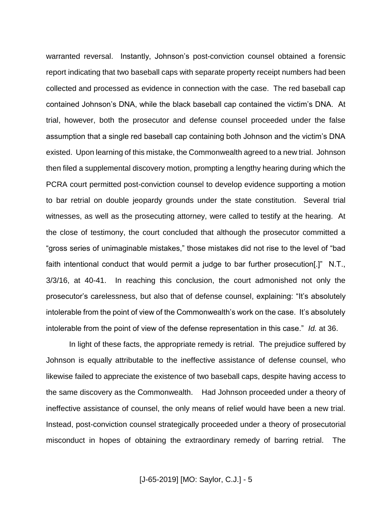warranted reversal. Instantly, Johnson's post-conviction counsel obtained a forensic report indicating that two baseball caps with separate property receipt numbers had been collected and processed as evidence in connection with the case. The red baseball cap contained Johnson's DNA, while the black baseball cap contained the victim's DNA. At trial, however, both the prosecutor and defense counsel proceeded under the false assumption that a single red baseball cap containing both Johnson and the victim's DNA existed. Upon learning of this mistake, the Commonwealth agreed to a new trial. Johnson then filed a supplemental discovery motion, prompting a lengthy hearing during which the PCRA court permitted post-conviction counsel to develop evidence supporting a motion to bar retrial on double jeopardy grounds under the state constitution. Several trial witnesses, as well as the prosecuting attorney, were called to testify at the hearing. At the close of testimony, the court concluded that although the prosecutor committed a "gross series of unimaginable mistakes," those mistakes did not rise to the level of "bad faith intentional conduct that would permit a judge to bar further prosecution[.]" N.T., 3/3/16, at 40-41. In reaching this conclusion, the court admonished not only the prosecutor's carelessness, but also that of defense counsel, explaining: "It's absolutely intolerable from the point of view of the Commonwealth's work on the case. It's absolutely intolerable from the point of view of the defense representation in this case." *Id.* at 36.

In light of these facts, the appropriate remedy is retrial. The prejudice suffered by Johnson is equally attributable to the ineffective assistance of defense counsel, who likewise failed to appreciate the existence of two baseball caps, despite having access to the same discovery as the Commonwealth. Had Johnson proceeded under a theory of ineffective assistance of counsel, the only means of relief would have been a new trial. Instead, post-conviction counsel strategically proceeded under a theory of prosecutorial misconduct in hopes of obtaining the extraordinary remedy of barring retrial. The